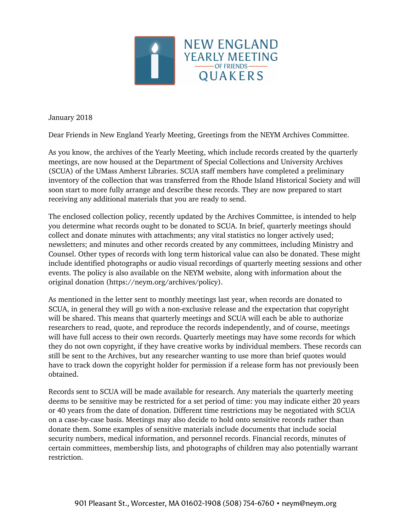

January 2018

Dear Friends in New England Yearly Meeting, Greetings from the NEYM Archives Committee.

As you know, the archives of the Yearly Meeting, which include records created by the quarterly meetings, are now housed at the Department of Special Collections and University Archives (SCUA) of the UMass Amherst Libraries. SCUA staff members have completed a preliminary inventory of the collection that was transferred from the Rhode Island Historical Society and will soon start to more fully arrange and describe these records. They are now prepared to start receiving any additional materials that you are ready to send.

The enclosed collection policy, recently updated by the Archives Committee, is intended to help you determine what records ought to be donated to SCUA. In brief, quarterly meetings should collect and donate minutes with attachments; any vital statistics no longer actively used; newsletters; and minutes and other records created by any committees, including Ministry and Counsel. Other types of records with long term historical value can also be donated. These might include identified photographs or audio visual recordings of quarterly meeting sessions and other events. The policy is also available on the NEYM website, along with information about the original donation (https://neym.org/archives/policy).

As mentioned in the letter sent to monthly meetings last year, when records are donated to SCUA, in general they will go with a non-exclusive release and the expectation that copyright will be shared. This means that quarterly meetings and SCUA will each be able to authorize researchers to read, quote, and reproduce the records independently, and of course, meetings will have full access to their own records. Quarterly meetings may have some records for which they do not own copyright, if they have creative works by individual members. These records can still be sent to the Archives, but any researcher wanting to use more than brief quotes would have to track down the copyright holder for permission if a release form has not previously been obtained.

Records sent to SCUA will be made available for research. Any materials the quarterly meeting deems to be sensitive may be restricted for a set period of time: you may indicate either 20 years or 40 years from the date of donation. Different time restrictions may be negotiated with SCUA on a case-by-case basis. Meetings may also decide to hold onto sensitive records rather than donate them. Some examples of sensitive materials include documents that include social security numbers, medical information, and personnel records. Financial records, minutes of certain committees, membership lists, and photographs of children may also potentially warrant restriction.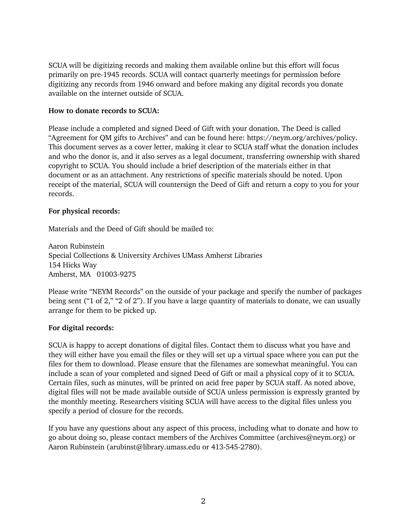SCUA will be digitizing records and making them available online but this effort will focus primarily on pre-1945 records. SCUA will contact quarterly meetings for permission before digitizing any records from 1946 onward and before making any digital records you donate available on the internet outside of SCUA.

## **How to donate records to SCUA:**

Please include a completed and signed Deed of Gift with your donation. The Deed is called "Agreement for QM gifts to Archives" and can be found here: https://neym.org/archives/policy. This document serves as a cover letter, making it clear to SCUA staff what the donation includes and who the donor is, and it also serves as a legal document, transferring ownership with shared copyright to SCUA. You should include a brief description of the materials either in that document or as an attachment. Any restrictions of specific materials should be noted. Upon receipt of the material, SCUA will countersign the Deed of Gift and return a copy to you for your records.

## **For physical records:**

Materials and the Deed of Gift should be mailed to:

Aaron Rubinstein Special Collections & University Archives UMass Amherst Libraries 154 Hicks Way Amherst, MA 01003-9275

Please write "NEYM Records" on the outside of your package and specify the number of packages being sent ("1 of 2," "2 of 2"). If you have a large quantity of materials to donate, we can usually arrange for them to be picked up.

## **For digital records:**

SCUA is happy to accept donations of digital files. Contact them to discuss what you have and they will either have you email the files or they will set up a virtual space where you can put the files for them to download. Please ensure that the filenames are somewhat meaningful. You can include a scan of your completed and signed Deed of Gift or mail a physical copy of it to SCUA. Certain files, such as minutes, will be printed on acid free paper by SCUA staff. As noted above, digital files will not be made available outside of SCUA unless permission is expressly granted by the monthly meeting. Researchers visiting SCUA will have access to the digital files unless you specify a period of closure for the records.

If you have any questions about any aspect of this process, including what to donate and how to go about doing so, please contact members of the Archives Committee (archives@neym.org) or Aaron Rubinstein (arubinst@library.umass.edu or 413-545-2780).